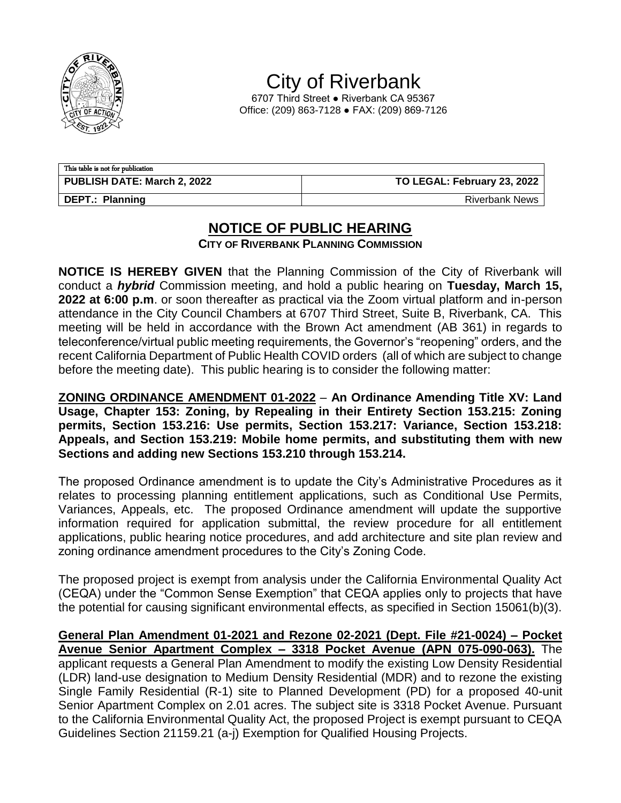

City of Riverbank

6707 Third Street ● Riverbank CA 95367 Office: (209) 863-7128 ● FAX: (209) 869-7126

| This table is not for publication |                             |  |
|-----------------------------------|-----------------------------|--|
| PUBLISH DATE: March 2, 2022       | TO LEGAL: February 23, 2022 |  |
| <b>DEPT.: Planning</b>            | <b>Riverbank News</b>       |  |

## **NOTICE OF PUBLIC HEARING**

**CITY OF RIVERBANK PLANNING COMMISSION**

**NOTICE IS HEREBY GIVEN** that the Planning Commission of the City of Riverbank will conduct a *hybrid* Commission meeting, and hold a public hearing on **Tuesday, March 15, 2022 at 6:00 p.m**. or soon thereafter as practical via the Zoom virtual platform and in-person attendance in the City Council Chambers at 6707 Third Street, Suite B, Riverbank, CA. This meeting will be held in accordance with the Brown Act amendment (AB 361) in regards to teleconference/virtual public meeting requirements, the Governor's "reopening" orders, and the recent California Department of Public Health COVID orders (all of which are subject to change before the meeting date). This public hearing is to consider the following matter:

**ZONING ORDINANCE AMENDMENT 01-2022** – **An Ordinance Amending Title XV: Land Usage, Chapter 153: Zoning, by Repealing in their Entirety Section 153.215: Zoning permits, Section 153.216: Use permits, Section 153.217: Variance, Section 153.218: Appeals, and Section 153.219: Mobile home permits, and substituting them with new Sections and adding new Sections 153.210 through 153.214.** 

The proposed Ordinance amendment is to update the City's Administrative Procedures as it relates to processing planning entitlement applications, such as Conditional Use Permits, Variances, Appeals, etc. The proposed Ordinance amendment will update the supportive information required for application submittal, the review procedure for all entitlement applications, public hearing notice procedures, and add architecture and site plan review and zoning ordinance amendment procedures to the City's Zoning Code.

The proposed project is exempt from analysis under the California Environmental Quality Act (CEQA) under the "Common Sense Exemption" that CEQA applies only to projects that have the potential for causing significant environmental effects, as specified in Section 15061(b)(3).

**General Plan Amendment 01-2021 and Rezone 02-2021 (Dept. File #21-0024) – Pocket Avenue Senior Apartment Complex – 3318 Pocket Avenue (APN 075-090-063).** The applicant requests a General Plan Amendment to modify the existing Low Density Residential (LDR) land-use designation to Medium Density Residential (MDR) and to rezone the existing Single Family Residential (R-1) site to Planned Development (PD) for a proposed 40-unit Senior Apartment Complex on 2.01 acres. The subject site is 3318 Pocket Avenue. Pursuant to the California Environmental Quality Act, the proposed Project is exempt pursuant to CEQA Guidelines Section 21159.21 (a-j) Exemption for Qualified Housing Projects.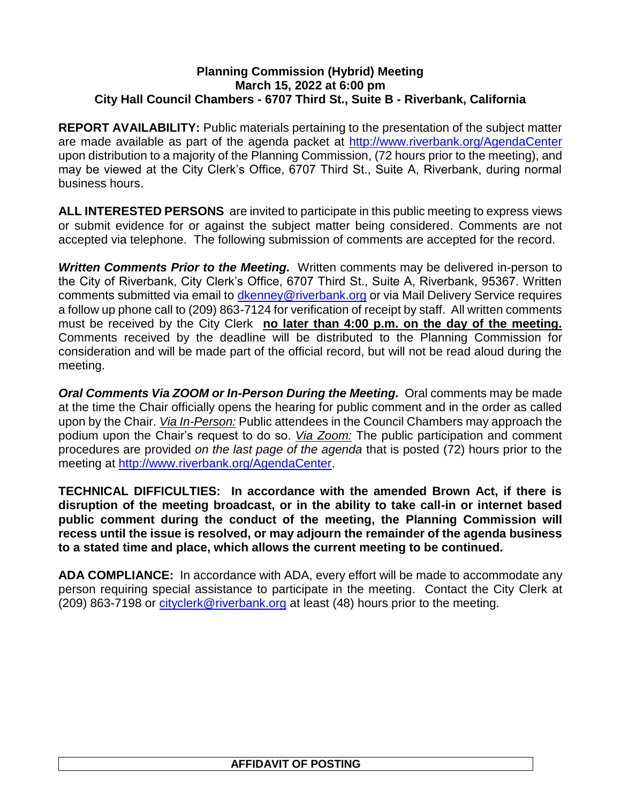## **Planning Commission (Hybrid) Meeting March 15, 2022 at 6:00 pm City Hall Council Chambers - 6707 Third St., Suite B - Riverbank, California**

**REPORT AVAILABILITY:** Public materials pertaining to the presentation of the subject matter are made available as part of the agenda packet at<http://www.riverbank.org/AgendaCenter> upon distribution to a majority of the Planning Commission, (72 hours prior to the meeting), and may be viewed at the City Clerk's Office, 6707 Third St., Suite A, Riverbank, during normal business hours.

**ALL INTERESTED PERSONS** are invited to participate in this public meeting to express views or submit evidence for or against the subject matter being considered. Comments are not accepted via telephone. The following submission of comments are accepted for the record.

*Written Comments Prior to the Meeting.* Written comments may be delivered in-person to the City of Riverbank, City Clerk's Office, 6707 Third St., Suite A, Riverbank, 95367. Written comments submitted via email to *dkenney@riverbank.org* or via Mail Delivery Service requires a follow up phone call to (209) 863-7124 for verification of receipt by staff. All written comments must be received by the City Clerk **no later than 4:00 p.m. on the day of the meeting.**  Comments received by the deadline will be distributed to the Planning Commission for consideration and will be made part of the official record, but will not be read aloud during the meeting.

*Oral Comments Via ZOOM or In-Person During the Meeting. Oral comments may be made* at the time the Chair officially opens the hearing for public comment and in the order as called upon by the Chair. *Via In-Person:* Public attendees in the Council Chambers may approach the podium upon the Chair's request to do so. *Via Zoom:* The public participation and comment procedures are provided *on the last page of the agenda* that is posted (72) hours prior to the meeting at [http://www.riverbank.org/AgendaCenter.](http://www.riverbank.org/AgendaCenter)

**TECHNICAL DIFFICULTIES: In accordance with the amended Brown Act, if there is disruption of the meeting broadcast, or in the ability to take call-in or internet based public comment during the conduct of the meeting, the Planning Commission will recess until the issue is resolved, or may adjourn the remainder of the agenda business to a stated time and place, which allows the current meeting to be continued.**

**ADA COMPLIANCE:** In accordance with ADA, every effort will be made to accommodate any person requiring special assistance to participate in the meeting. Contact the City Clerk at (209) 863-7198 or [cityclerk@riverbank.org](mailto:cityclerk@riverbank.org) at least (48) hours prior to the meeting.